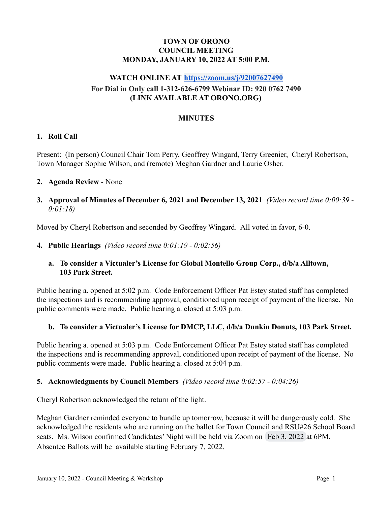#### **TOWN OF ORONO COUNCIL MEETING MONDAY, JANUARY 10, 2022 AT 5:00 P.M.**

# **WATCH ONLINE AT <https://zoom.us/j/92007627490> For Dial in Only call 1-312-626-6799 Webinar ID: 920 0762 7490 (LINK AVAILABLE AT ORONO.ORG)**

#### **MINUTES**

#### **1. Roll Call**

Present: (In person) Council Chair Tom Perry, Geoffrey Wingard, Terry Greenier, Cheryl Robertson, Town Manager Sophie Wilson, and (remote) Meghan Gardner and Laurie Osher.

#### **2. Agenda Review** - None

**3. Approval of Minutes of December 6, 2021 and December 13, 2021** *(Video record time 0:00:39 - 0:01:18)*

Moved by Cheryl Robertson and seconded by Geoffrey Wingard. All voted in favor, 6-0.

**4. Public Hearings** *(Video record time 0:01:19 - 0:02:56)*

## **a. To consider a Victualer's License for Global Montello Group Corp., d/b/a Alltown, 103 Park Street.**

Public hearing a. opened at 5:02 p.m. Code Enforcement Officer Pat Estey stated staff has completed the inspections and is recommending approval, conditioned upon receipt of payment of the license. No public comments were made. Public hearing a. closed at 5:03 p.m.

#### **b. To consider a Victualer's License for DMCP, LLC, d/b/a Dunkin Donuts, 103 Park Street.**

Public hearing a. opened at 5:03 p.m. Code Enforcement Officer Pat Estey stated staff has completed the inspections and is recommending approval, conditioned upon receipt of payment of the license. No public comments were made. Public hearing a. closed at 5:04 p.m.

#### **5. Acknowledgments by Council Members** *(Video record time 0:02:57 - 0:04:26)*

Cheryl Robertson acknowledged the return of the light.

Meghan Gardner reminded everyone to bundle up tomorrow, because it will be dangerously cold. She acknowledged the residents who are running on the ballot for Town Council and RSU#26 School Board seats. Ms. Wilson confirmed Candidates' Night will be held via Zoom on Feb 3, 2022 at 6PM. Absentee Ballots will be available starting February 7, 2022.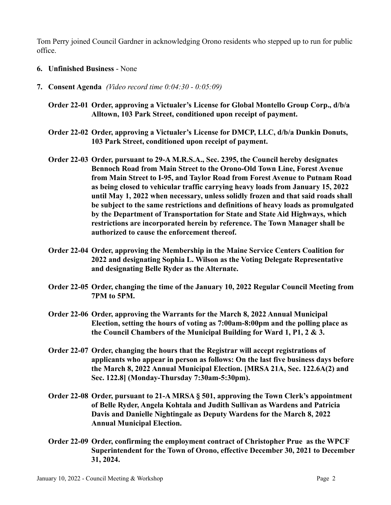Tom Perry joined Council Gardner in acknowledging Orono residents who stepped up to run for public office.

- **6. Unfinished Business** None
- **7. Consent Agenda** *(Video record time 0:04:30 0:05:09)*
	- **Order 22-01 Order, approving a Victualer's License for Global Montello Group Corp., d/b/a Alltown, 103 Park Street, conditioned upon receipt of payment.**
	- **Order 22-02 Order, approving a Victualer's License for DMCP, LLC, d/b/a Dunkin Donuts, 103 Park Street, conditioned upon receipt of payment.**
	- **Order 22-03 Order, pursuant to 29-A M.R.S.A., Sec. 2395, the Council hereby designates Bennoch Road from Main Street to the Orono-Old Town Line, Forest Avenue from Main Street to I-95, and Taylor Road from Forest Avenue to Putnam Road as being closed to vehicular traffic carrying heavy loads from January 15, 2022 until May 1, 2022 when necessary, unless solidly frozen and that said roads shall be subject to the same restrictions and definitions of heavy loads as promulgated by the Department of Transportation for State and State Aid Highways, which restrictions are incorporated herein by reference. The Town Manager shall be authorized to cause the enforcement thereof.**
	- **Order 22-04 Order, approving the Membership in the Maine Service Centers Coalition for 2022 and designating Sophia L. Wilson as the Voting Delegate Representative and designating Belle Ryder as the Alternate.**
	- **Order 22-05 Order, changing the time of the January 10, 2022 Regular Council Meeting from 7PM to 5PM.**
	- **Order 22-06 Order, approving the Warrants for the March 8, 2022 Annual Municipal Election, setting the hours of voting as 7:00am-8:00pm and the polling place as the Council Chambers of the Municipal Building for Ward 1, P1, 2 & 3.**
	- **Order 22-07 Order, changing the hours that the Registrar will accept registrations of applicants who appear in person as follows: On the last five business days before the March 8, 2022 Annual Municipal Election. [MRSA 21A, Sec. 122.6A(2) and Sec. 122.8] (Monday-Thursday 7:30am-5:30pm).**
	- **Order 22-08 Order, pursuant to 21-A MRSA § 501, approving the Town Clerk's appointment of Belle Ryder, Angela Kohtala and Judith Sullivan as Wardens and Patricia Davis and Danielle Nightingale as Deputy Wardens for the March 8, 2022 Annual Municipal Election.**
	- **Order 22-09 Order, confirming the employment contract of Christopher Prue as the WPCF Superintendent for the Town of Orono, effective December 30, 2021 to December 31, 2024.**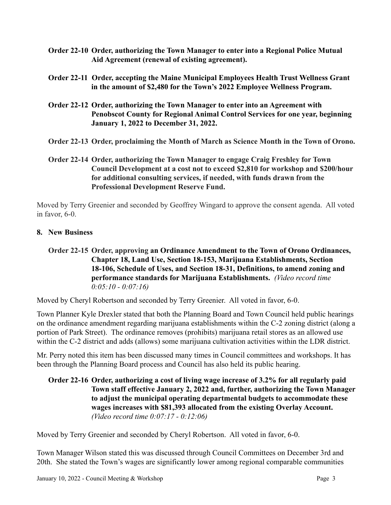- **Order 22-10 Order, authorizing the Town Manager to enter into a Regional Police Mutual Aid Agreement (renewal of existing agreement).**
- **Order 22-11 Order, accepting the Maine Municipal Employees Health Trust Wellness Grant in the amount of \$2,480 for the Town's 2022 Employee Wellness Program.**
- **Order 22-12 Order, authorizing the Town Manager to enter into an Agreement with Penobscot County for Regional Animal Control Services for one year, beginning January 1, 2022 to December 31, 2022.**
- **Order 22-13 Order, proclaiming the Month of March as Science Month in the Town of Orono.**
- **Order 22-14 Order, authorizing the Town Manager to engage Craig Freshley for Town Council Development at a cost not to exceed \$2,810 for workshop and \$200/hour for additional consulting services, if needed, with funds drawn from the Professional Development Reserve Fund.**

Moved by Terry Greenier and seconded by Geoffrey Wingard to approve the consent agenda. All voted in favor, 6-0.

## **8. New Business**

## **Order 22-15 Order, approving an Ordinance Amendment to the Town of Orono Ordinances, Chapter 18, Land Use, Section 18-153, Marijuana Establishments, Section 18-106, Schedule of Uses, and Section 18-31, Definitions, to amend zoning and performance standards for Marijuana Establishments.** *(Video record time 0:05:10 - 0:07:16)*

Moved by Cheryl Robertson and seconded by Terry Greenier. All voted in favor, 6-0.

Town Planner Kyle Drexler stated that both the Planning Board and Town Council held public hearings on the ordinance amendment regarding marijuana establishments within the C-2 zoning district (along a portion of Park Street). The ordinance removes (prohibits) marijuana retail stores as an allowed use within the C-2 district and adds (allows) some marijuana cultivation activities within the LDR district.

Mr. Perry noted this item has been discussed many times in Council committees and workshops. It has been through the Planning Board process and Council has also held its public hearing.

## **Order 22-16 Order, authorizing a cost of living wage increase of 3.2% for all regularly paid Town staff effective January 2, 2022 and, further, authorizing the Town Manager to adjust the municipal operating departmental budgets to accommodate these wages increases with \$81,393 allocated from the existing Overlay Account.** *(Video record time 0:07:17 - 0:12:06)*

Moved by Terry Greenier and seconded by Cheryl Robertson. All voted in favor, 6-0.

Town Manager Wilson stated this was discussed through Council Committees on December 3rd and 20th. She stated the Town's wages are significantly lower among regional comparable communities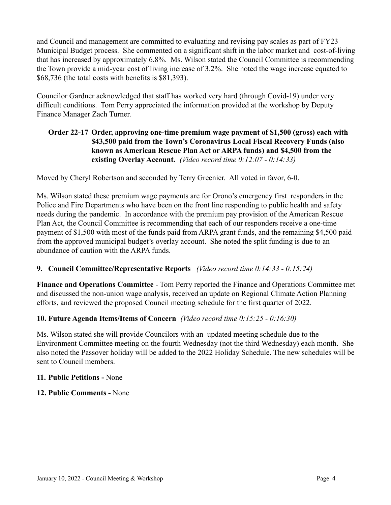and Council and management are committed to evaluating and revising pay scales as part of FY23 Municipal Budget process. She commented on a significant shift in the labor market and cost-of-living that has increased by approximately 6.8%. Ms. Wilson stated the Council Committee is recommending the Town provide a mid-year cost of living increase of 3.2%. She noted the wage increase equated to \$68,736 (the total costs with benefits is \$81,393).

Councilor Gardner acknowledged that staff has worked very hard (through Covid-19) under very difficult conditions. Tom Perry appreciated the information provided at the workshop by Deputy Finance Manager Zach Turner.

## **Order 22-17 Order, approving one-time premium wage payment of \$1,500 (gross) each with \$43,500 paid from the Town's Coronavirus Local Fiscal Recovery Funds (also known as American Rescue Plan Act or ARPA funds) and \$4,500 from the existing Overlay Account.** *(Video record time 0:12:07 - 0:14:33)*

Moved by Cheryl Robertson and seconded by Terry Greenier. All voted in favor, 6-0.

Ms. Wilson stated these premium wage payments are for Orono's emergency first responders in the Police and Fire Departments who have been on the front line responding to public health and safety needs during the pandemic. In accordance with the premium pay provision of the American Rescue Plan Act, the Council Committee is recommending that each of our responders receive a one-time payment of \$1,500 with most of the funds paid from ARPA grant funds, and the remaining \$4,500 paid from the approved municipal budget's overlay account. She noted the split funding is due to an abundance of caution with the ARPA funds.

# **9. Council Committee/Representative Reports** *(Video record time 0:14:33 - 0:15:24)*

**Finance and Operations Committee** - Tom Perry reported the Finance and Operations Committee met and discussed the non-union wage analysis, received an update on Regional Climate Action Planning efforts, and reviewed the proposed Council meeting schedule for the first quarter of 2022.

## **10. Future Agenda Items/Items of Concern** *(Video record time 0:15:25 - 0:16:30)*

Ms. Wilson stated she will provide Councilors with an updated meeting schedule due to the Environment Committee meeting on the fourth Wednesday (not the third Wednesday) each month. She also noted the Passover holiday will be added to the 2022 Holiday Schedule. The new schedules will be sent to Council members.

## **11. Public Petitions -** None

# **12. Public Comments -** None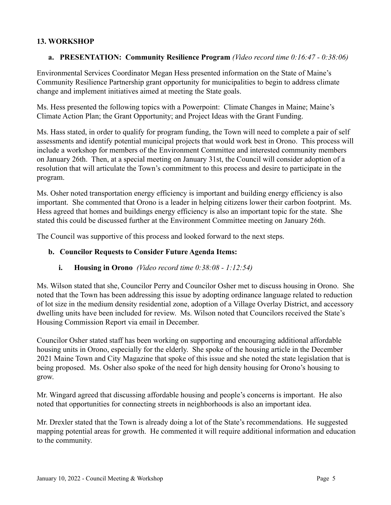#### **13. WORKSHOP**

#### **a. PRESENTATION: Community Resilience Program** *(Video record time 0:16:47 - 0:38:06)*

Environmental Services Coordinator Megan Hess presented information on the State of Maine's Community Resilience Partnership grant opportunity for municipalities to begin to address climate change and implement initiatives aimed at meeting the State goals.

Ms. Hess presented the following topics with a Powerpoint: Climate Changes in Maine; Maine's Climate Action Plan; the Grant Opportunity; and Project Ideas with the Grant Funding.

Ms. Hass stated, in order to qualify for program funding, the Town will need to complete a pair of self assessments and identify potential municipal projects that would work best in Orono. This process will include a workshop for members of the Environment Committee and interested community members on January 26th. Then, at a special meeting on January 31st, the Council will consider adoption of a resolution that will articulate the Town's commitment to this process and desire to participate in the program.

Ms. Osher noted transportation energy efficiency is important and building energy efficiency is also important. She commented that Orono is a leader in helping citizens lower their carbon footprint. Ms. Hess agreed that homes and buildings energy efficiency is also an important topic for the state. She stated this could be discussed further at the Environment Committee meeting on January 26th.

The Council was supportive of this process and looked forward to the next steps.

## **b. Councilor Requests to Consider Future Agenda Items:**

## **i. Housing in Orono** *(Video record time 0:38:08 - 1:12:54)*

Ms. Wilson stated that she, Councilor Perry and Councilor Osher met to discuss housing in Orono. She noted that the Town has been addressing this issue by adopting ordinance language related to reduction of lot size in the medium density residential zone, adoption of a Village Overlay District, and accessory dwelling units have been included for review. Ms. Wilson noted that Councilors received the State's Housing Commission Report via email in December.

Councilor Osher stated staff has been working on supporting and encouraging additional affordable housing units in Orono, especially for the elderly. She spoke of the housing article in the December 2021 Maine Town and City Magazine that spoke of this issue and she noted the state legislation that is being proposed. Ms. Osher also spoke of the need for high density housing for Orono's housing to grow.

Mr. Wingard agreed that discussing affordable housing and people's concerns is important. He also noted that opportunities for connecting streets in neighborhoods is also an important idea.

Mr. Drexler stated that the Town is already doing a lot of the State's recommendations. He suggested mapping potential areas for growth. He commented it will require additional information and education to the community.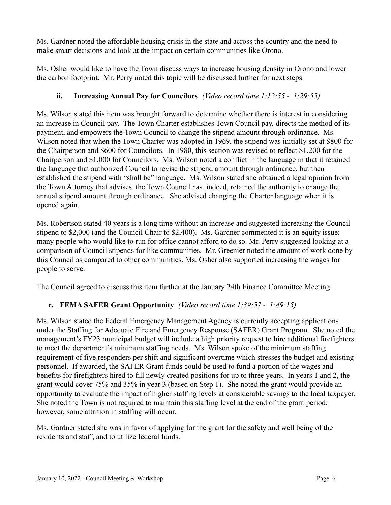Ms. Gardner noted the affordable housing crisis in the state and across the country and the need to make smart decisions and look at the impact on certain communities like Orono.

Ms. Osher would like to have the Town discuss ways to increase housing density in Orono and lower the carbon footprint. Mr. Perry noted this topic will be discussed further for next steps.

# **ii. Increasing Annual Pay for Councilors** *(Video record time 1:12:55 - 1:29:55)*

Ms. Wilson stated this item was brought forward to determine whether there is interest in considering an increase in Council pay. The Town Charter establishes Town Council pay, directs the method of its payment, and empowers the Town Council to change the stipend amount through ordinance. Ms. Wilson noted that when the Town Charter was adopted in 1969, the stipend was initially set at \$800 for the Chairperson and \$600 for Councilors. In 1980, this section was revised to reflect \$1,200 for the Chairperson and \$1,000 for Councilors. Ms. Wilson noted a conflict in the language in that it retained the language that authorized Council to revise the stipend amount through ordinance, but then established the stipend with "shall be" language. Ms. Wilson stated she obtained a legal opinion from the Town Attorney that advises the Town Council has, indeed, retained the authority to change the annual stipend amount through ordinance. She advised changing the Charter language when it is opened again.

Ms. Robertson stated 40 years is a long time without an increase and suggested increasing the Council stipend to \$2,000 (and the Council Chair to \$2,400). Ms. Gardner commented it is an equity issue; many people who would like to run for office cannot afford to do so. Mr. Perry suggested looking at a comparison of Council stipends for like communities. Mr. Greenier noted the amount of work done by this Council as compared to other communities. Ms. Osher also supported increasing the wages for people to serve.

The Council agreed to discuss this item further at the January 24th Finance Committee Meeting.

# **c. FEMA SAFER Grant Opportunity** *(Video record time 1:39:57 - 1:49:15)*

Ms. Wilson stated the Federal Emergency Management Agency is currently accepting applications under the Staffing for Adequate Fire and Emergency Response (SAFER) Grant Program. She noted the management's FY23 municipal budget will include a high priority request to hire additional firefighters to meet the department's minimum staffing needs. Ms. Wilson spoke of the minimum staffing requirement of five responders per shift and significant overtime which stresses the budget and existing personnel. If awarded, the SAFER Grant funds could be used to fund a portion of the wages and benefits for firefighters hired to fill newly created positions for up to three years. In years 1 and 2, the grant would cover 75% and 35% in year 3 (based on Step 1). She noted the grant would provide an opportunity to evaluate the impact of higher staffing levels at considerable savings to the local taxpayer. She noted the Town is not required to maintain this staffing level at the end of the grant period; however, some attrition in staffing will occur.

Ms. Gardner stated she was in favor of applying for the grant for the safety and well being of the residents and staff, and to utilize federal funds.